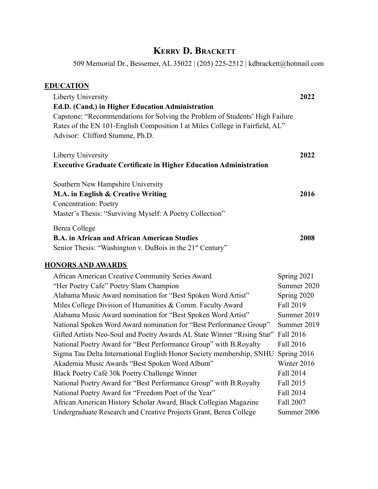# **KERRY D. BRACKETT**

509 Memorial Dr., Bessemer, AL 35022 | (205) 225-2512 | kdbrackett@hotmail.com

| <b>EDUCATION</b>                                                             |             |
|------------------------------------------------------------------------------|-------------|
| Liberty University                                                           | 2022        |
| Ed.D. (Cand.) in Higher Education Administration                             |             |
| Capstone: "Recommendations for Solving the Problem of Students' High Failure |             |
| Rates of the EN 101-English Composition I at Miles College in Fairfield, AL" |             |
| Advisor: Clifford Stumme, Ph.D.                                              |             |
| Liberty University                                                           | 2022        |
| <b>Executive Graduate Certificate in Higher Education Administration</b>     |             |
| Southern New Hampshire University                                            |             |
| M.A. in English & Creative Writing                                           | 2016        |
| <b>Concentration: Poetry</b>                                                 |             |
| Master's Thesis: "Surviving Myself: A Poetry Collection"                     |             |
| Berea College                                                                |             |
| <b>B.A. in African and African American Studies</b>                          | 2008        |
| Senior Thesis: "Washington v. DuBois in the 21 <sup>st</sup> Century"        |             |
| <b>HONORS AND AWARDS</b>                                                     |             |
| African American Creative Community Series Award                             | Spring 2021 |
| "Her Poetry Cafe" Poetry Slam Champion                                       | Summer 2020 |
| Alabama Music Award nomination for "Best Spoken Word Artist"                 | Spring 2020 |
| Miles College Division of Humanities & Comm. Faculty Award                   | Fall 2019   |
| Alabama Music Award nomination for "Best Spoken Word Artist"                 | Summer 2019 |

| Miles College Division of Humanities & Comm. Faculty Award                        | Fall 2019   |
|-----------------------------------------------------------------------------------|-------------|
| Alabama Music Award nomination for "Best Spoken Word Artist"                      | Summer 2019 |
| National Spoken Word Award nomination for "Best Performance Group"                | Summer 2019 |
| Gifted Artists Neo-Soul and Poetry Awards AL State Winner "Rising Star" Fall 2016 |             |
| National Poetry Award for "Best Performance Group" with B.Royalty                 | Fall 2016   |
| Sigma Tau Delta International English Honor Society membership, SNHU              | Spring 2016 |
| Akademia Music Awards "Best Spoken Word Album"                                    | Winter 2016 |
| Black Poetry Café 30k Poetry Challenge Winner                                     | Fall 2014   |
| National Poetry Award for "Best Performance Group" with B. Royalty                | Fall 2015   |
| National Poetry Award for "Freedom Poet of the Year"                              | Fall 2014   |
| African American History Scholar Award, Black Collegian Magazine                  | Fall 2007   |
| Undergraduate Research and Creative Projects Grant, Berea College                 | Summer 2006 |
|                                                                                   |             |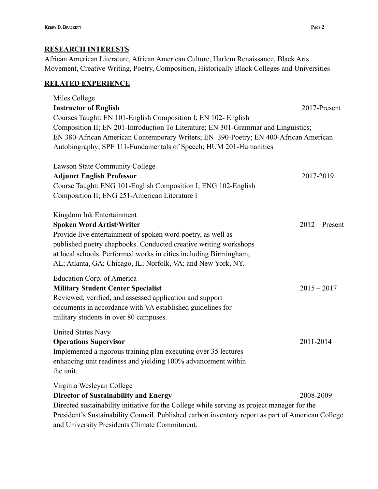## **RESEARCH INTERESTS**

African American Literature, African American Culture, Harlem Renaissance, Black Arts Movement, Creative Writing, Poetry, Composition, Historically Black Colleges and Universities

## **RELATED EXPERIENCE**

| Miles College                                                                                     |                  |
|---------------------------------------------------------------------------------------------------|------------------|
| <b>Instructor of English</b>                                                                      | 2017-Present     |
| Courses Taught: EN 101-English Composition I; EN 102- English                                     |                  |
| Composition II; EN 201-Introduction To Literature; EN 301-Grammar and Linguistics;                |                  |
| EN 380-African American Contemporary Writers; EN 390-Poetry; EN 400-African American              |                  |
| Autobiography; SPE 111-Fundamentals of Speech; HUM 201-Humanities                                 |                  |
| Lawson State Community College                                                                    |                  |
| <b>Adjunct English Professor</b>                                                                  | 2017-2019        |
| Course Taught: ENG 101-English Composition I; ENG 102-English                                     |                  |
| Composition II; ENG 251-American Literature I                                                     |                  |
| Kingdom Ink Entertainment                                                                         |                  |
| <b>Spoken Word Artist/Writer</b>                                                                  | $2012$ – Present |
| Provide live entertainment of spoken word poetry, as well as                                      |                  |
| published poetry chapbooks. Conducted creative writing workshops                                  |                  |
| at local schools. Performed works in cities including Birmingham,                                 |                  |
| AL; Atlanta, GA; Chicago, IL; Norfolk, VA; and New York, NY.                                      |                  |
| Education Corp. of America                                                                        |                  |
| <b>Military Student Center Specialist</b>                                                         | $2015 - 2017$    |
| Reviewed, verified, and assessed application and support                                          |                  |
| documents in accordance with VA established guidelines for                                        |                  |
| military students in over 80 campuses.                                                            |                  |
| <b>United States Navy</b>                                                                         |                  |
| <b>Operations Supervisor</b>                                                                      | 2011-2014        |
| Implemented a rigorous training plan executing over 35 lectures                                   |                  |
| enhancing unit readiness and yielding 100% advancement within                                     |                  |
| the unit.                                                                                         |                  |
| Virginia Wesleyan College                                                                         |                  |
| <b>Director of Sustainability and Energy</b>                                                      | 2008-2009        |
| Directed sustainability initiative for the College while serving as project manager for the       |                  |
| President's Sustainability Council. Published carbon inventory report as part of American College |                  |

and University Presidents Climate Commitment.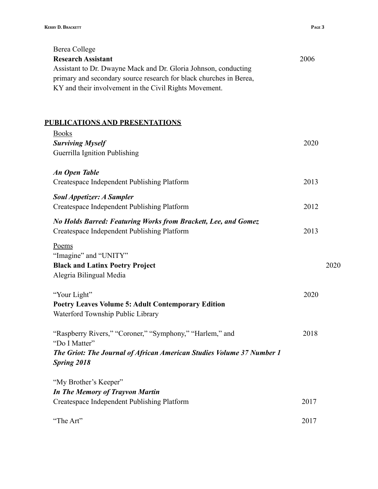| Berea College                                                                               |      |      |
|---------------------------------------------------------------------------------------------|------|------|
| <b>Research Assistant</b>                                                                   | 2006 |      |
| Assistant to Dr. Dwayne Mack and Dr. Gloria Johnson, conducting                             |      |      |
| primary and secondary source research for black churches in Berea,                          |      |      |
| KY and their involvement in the Civil Rights Movement.                                      |      |      |
|                                                                                             |      |      |
|                                                                                             |      |      |
| <b>PUBLICATIONS AND PRESENTATIONS</b>                                                       |      |      |
| <b>Books</b>                                                                                |      |      |
| <b>Surviving Myself</b>                                                                     | 2020 |      |
| Guerrilla Ignition Publishing                                                               |      |      |
|                                                                                             |      |      |
| <b>An Open Table</b>                                                                        |      |      |
| Createspace Independent Publishing Platform                                                 | 2013 |      |
| <b>Soul Appetizer: A Sampler</b>                                                            |      |      |
| Createspace Independent Publishing Platform                                                 | 2012 |      |
| No Holds Barred: Featuring Works from Brackett, Lee, and Gomez                              |      |      |
| Createspace Independent Publishing Platform                                                 | 2013 |      |
|                                                                                             |      |      |
| Poems<br>"Imagine" and "UNITY"                                                              |      |      |
| <b>Black and Latinx Poetry Project</b>                                                      |      | 2020 |
| Alegria Bilingual Media                                                                     |      |      |
|                                                                                             |      |      |
| "Your Light"                                                                                | 2020 |      |
| <b>Poetry Leaves Volume 5: Adult Contemporary Edition</b>                                   |      |      |
| Waterford Township Public Library                                                           |      |      |
|                                                                                             |      |      |
| "Raspberry Rivers," "Coroner," "Symphony," "Harlem," and                                    | 2018 |      |
| "Do I Matter"                                                                               |      |      |
| The Griot: The Journal of African American Studies Volume 37 Number 1<br><b>Spring 2018</b> |      |      |
|                                                                                             |      |      |
| "My Brother's Keeper"                                                                       |      |      |
| <b>In The Memory of Trayvon Martin</b>                                                      |      |      |
| Createspace Independent Publishing Platform                                                 | 2017 |      |
|                                                                                             |      |      |
| "The Art"                                                                                   | 2017 |      |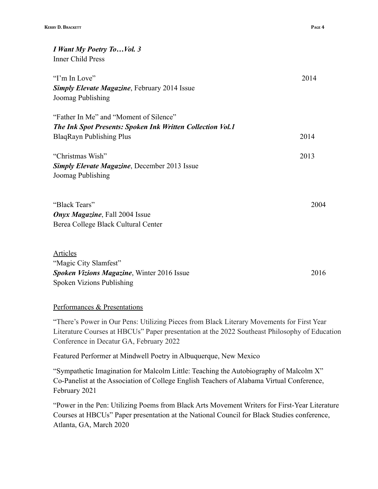| I Want My Poetry ToVol. 3                                  |      |
|------------------------------------------------------------|------|
| <b>Inner Child Press</b>                                   |      |
| "I'm In Love"                                              | 2014 |
| <b>Simply Elevate Magazine, February 2014 Issue</b>        |      |
| Joomag Publishing                                          |      |
| "Father In Me" and "Moment of Silence"                     |      |
| The Ink Spot Presents: Spoken Ink Written Collection Vol.1 |      |
| <b>BlaqRayn Publishing Plus</b>                            | 2014 |
| "Christmas Wish"                                           | 2013 |
| <b>Simply Elevate Magazine, December 2013 Issue</b>        |      |
| Joomag Publishing                                          |      |
| "Black Tears"                                              | 2004 |
| <b>Onyx Magazine</b> , Fall 2004 Issue                     |      |
| Berea College Black Cultural Center                        |      |
| <b>Articles</b>                                            |      |
| "Magic City Slamfest"                                      |      |
| <b>Spoken Vizions Magazine, Winter 2016 Issue</b>          | 2016 |
| Spoken Vizions Publishing                                  |      |

### Performances & Presentations

"There's Power in Our Pens: Utilizing Pieces from Black Literary Movements for First Year Literature Courses at HBCUs" Paper presentation at the 2022 Southeast Philosophy of Education Conference in Decatur GA, February 2022

Featured Performer at Mindwell Poetry in Albuquerque, New Mexico

"Sympathetic Imagination for Malcolm Little: Teaching the Autobiography of Malcolm X" Co-Panelist at the Association of College English Teachers of Alabama Virtual Conference, February 2021

"Power in the Pen: Utilizing Poems from Black Arts Movement Writers for First-Year Literature Courses at HBCUs" Paper presentation at the National Council for Black Studies conference, Atlanta, GA, March 2020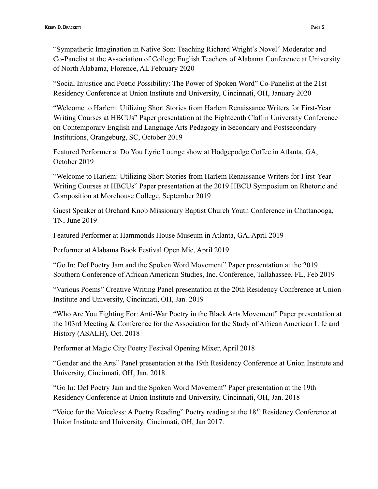"Sympathetic Imagination in Native Son: Teaching Richard Wright's Novel" Moderator and Co-Panelist at the Association of College English Teachers of Alabama Conference at University of North Alabama, Florence, AL February 2020

"Social Injustice and Poetic Possibility: The Power of Spoken Word" Co-Panelist at the 21st Residency Conference at Union Institute and University, Cincinnati, OH, January 2020

"Welcome to Harlem: Utilizing Short Stories from Harlem Renaissance Writers for First-Year Writing Courses at HBCUs" Paper presentation at the Eighteenth Claflin University Conference on Contemporary English and Language Arts Pedagogy in Secondary and Postsecondary Institutions, Orangeburg, SC, October 2019

Featured Performer at Do You Lyric Lounge show at Hodgepodge Coffee in Atlanta, GA, October 2019

"Welcome to Harlem: Utilizing Short Stories from Harlem Renaissance Writers for First-Year Writing Courses at HBCUs" Paper presentation at the 2019 HBCU Symposium on Rhetoric and Composition at Morehouse College, September 2019

Guest Speaker at Orchard Knob Missionary Baptist Church Youth Conference in Chattanooga, TN, June 2019

Featured Performer at Hammonds House Museum in Atlanta, GA, April 2019

Performer at Alabama Book Festival Open Mic, April 2019

"Go In: Def Poetry Jam and the Spoken Word Movement" Paper presentation at the 2019 Southern Conference of African American Studies, Inc. Conference, Tallahassee, FL, Feb 2019

"Various Poems" Creative Writing Panel presentation at the 20th Residency Conference at Union Institute and University, Cincinnati, OH, Jan. 2019

"Who Are You Fighting For: Anti-War Poetry in the Black Arts Movement" Paper presentation at the 103rd Meeting & Conference for the Association for the Study of African American Life and History (ASALH), Oct. 2018

Performer at Magic City Poetry Festival Opening Mixer, April 2018

"Gender and the Arts" Panel presentation at the 19th Residency Conference at Union Institute and University, Cincinnati, OH, Jan. 2018

"Go In: Def Poetry Jam and the Spoken Word Movement" Paper presentation at the 19th Residency Conference at Union Institute and University, Cincinnati, OH, Jan. 2018

"Voice for the Voiceless: A Poetry Reading" Poetry reading at the 18<sup>th</sup> Residency Conference at Union Institute and University. Cincinnati, OH, Jan 2017.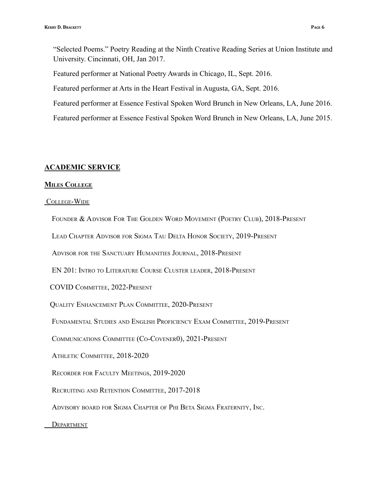"Selected Poems." Poetry Reading at the Ninth Creative Reading Series at Union Institute and University. Cincinnati, OH, Jan 2017.

Featured performer at National Poetry Awards in Chicago, IL, Sept. 2016.

Featured performer at Arts in the Heart Festival in Augusta, GA, Sept. 2016.

Featured performer at Essence Festival Spoken Word Brunch in New Orleans, LA, June 2016.

Featured performer at Essence Festival Spoken Word Brunch in New Orleans, LA, June 2015.

#### **ACADEMIC SERVICE**

#### **MILES COLLEGE**

#### COLLEGE-WIDE

FOUNDER & ADVISOR FOR THE GOLDEN WORD MOVEMENT (POETRY CLUB), 2018-PRESENT

LEAD CHAPTER ADVISOR FOR SIGMA TAU DELTA HONOR SOCIETY, 2019-PRESENT

ADVISOR FOR THE SANCTUARY HUMANITIES JOURNAL, 2018-PRESENT

EN 201: INTRO TO LITERATURE COURSE CLUSTER LEADER, 2018-PRESENT

COVID COMMITTEE, 2022-PRESENT

QUALITY ENHANCEMENT PLAN COMMITTEE, 2020-PRESENT

FUNDAMENTAL STUDIES AND ENGLISH PROFICIENCY EXAM COMMITTEE, 2019-PRESENT

COMMUNICATIONS COMMITTEE (CO-COVENER0), 2021-PRESENT

ATHLETIC COMMITTEE, 2018-2020

RECORDER FOR FACULTY MEETINGS, 2019-2020

RECRUITING AND RETENTION COMMITTEE, 2017-2018

ADVISORY BOARD FOR SIGMA CHAPTER OF PHI BETA SIGMA FRATERNITY, INC.

**DEPARTMENT**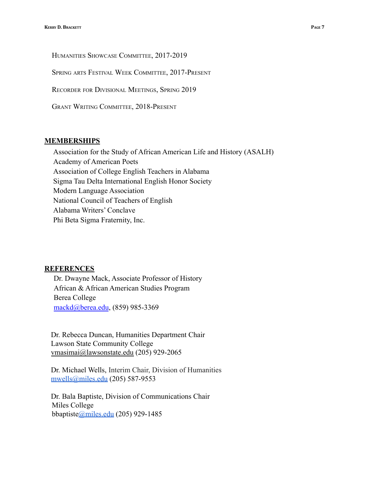HUMANITIES SHOWCASE COMMITTEE, 2017-2019

SPRING ARTS FESTIVAL WEEK COMMITTEE, 2017-PRESENT

RECORDER FOR DIVISIONAL MEETINGS, SPRING 2019

GRANT WRITING COMMITTEE, 2018-PRESENT

#### **MEMBERSHIPS**

Association for the Study of African American Life and History (ASALH) Academy of American Poets Association of College English Teachers in Alabama Sigma Tau Delta International English Honor Society Modern Language Association National Council of Teachers of English Alabama Writers' Conclave Phi Beta Sigma Fraternity, Inc.

### **REFERENCES**

Dr. Dwayne Mack, Associate Professor of History African & African American Studies Program Berea College [mackd@berea.edu](mailto:mackd@berea.edu), (859) 985-3369

Dr. Rebecca Duncan, Humanities Department Chair Lawson State Community College [vmasimai@lawsonstate.edu](mailto:vmasimai@lawsonstate.edu) (205) 929-2065

Dr. Michael Wells, Interim Chair, Division of Humanities [mwells@miles.edu](mailto:mwells@miles.edu) (205) 587-9553

Dr. Bala Baptiste, Division of Communications Chair Miles College bbaptist[e@miles.edu](mailto:aadadevoh@miles.edu) (205) 929-1485